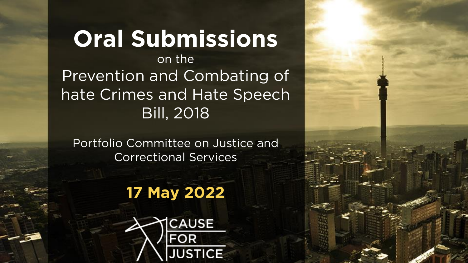**Oral Submissions** on the<br>Prevention and Combating of hate Crimes and Hate Speech **Bill, 2018** Bill, 2018

**Portfolio Committee Committee Committee Committee Committee Committee Committee Committee Committee Committee** 

#### **17 May 2022**



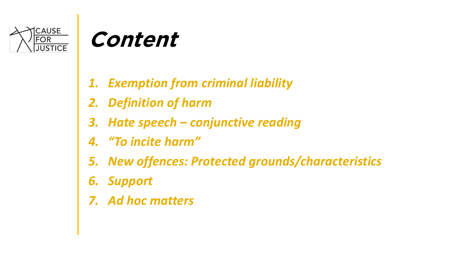

### **Content**

- *1. Exemption from criminal liability*
- *2. Definition of harm*
- *3. Hate speech – conjunctive reading*
- *4. "To incite harm"*
- *5. New offences: Protected grounds/characteristics*
- *6. Support*
- *7. Ad hoc matters*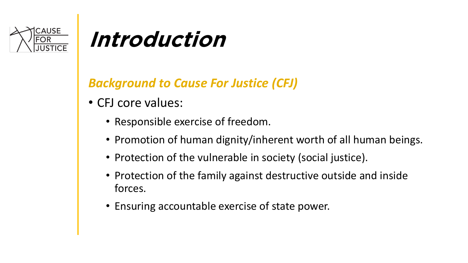

#### **Introduction**

#### *Background to Cause For Justice (CFJ)*

- CFJ core values:
	- Responsible exercise of freedom.
	- Promotion of human dignity/inherent worth of all human beings.
	- Protection of the vulnerable in society (social justice).
	- Protection of the family against destructive outside and inside forces.
	- Ensuring accountable exercise of state power.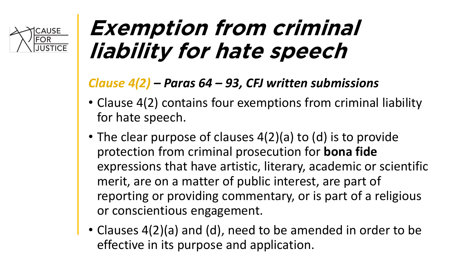

#### **Exemption from criminal liability for hate speech**

#### *Clause 4(2) – Paras 64 – 93, CFJ written submissions*

- Clause 4(2) contains four exemptions from criminal liability for hate speech.
- The clear purpose of clauses 4(2)(a) to (d) is to provide protection from criminal prosecution for **bona fide**  expressions that have artistic, literary, academic or scientific merit, are on a matter of public interest, are part of reporting or providing commentary, or is part of a religious or conscientious engagement.
- Clauses 4(2)(a) and (d), need to be amended in order to be effective in its purpose and application.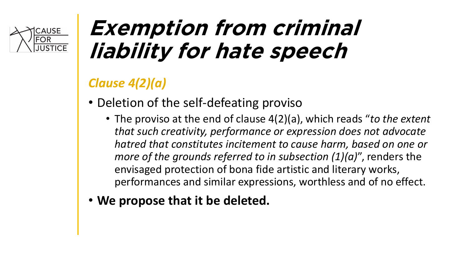

### **Exemption from criminal liability for hate speech**

#### *Clause 4(2)(a)*

- Deletion of the self-defeating proviso
	- The proviso at the end of clause 4(2)(a), which reads "*to the extent that such creativity, performance or expression does not advocate hatred that constitutes incitement to cause harm, based on one or more of the grounds referred to in subsection (1)(a)*", renders the envisaged protection of bona fide artistic and literary works, performances and similar expressions, worthless and of no effect.
- **We propose that it be deleted.**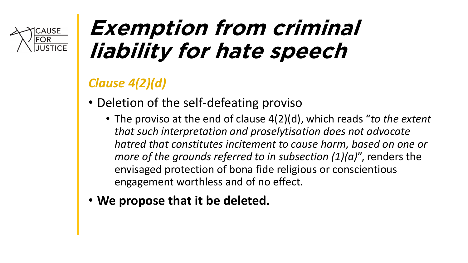

### **Exemption from criminal liability for hate speech**

#### *Clause 4(2)(d)*

- Deletion of the self-defeating proviso
	- The proviso at the end of clause 4(2)(d), which reads "*to the extent that such interpretation and proselytisation does not advocate hatred that constitutes incitement to cause harm, based on one or more of the grounds referred to in subsection (1)(a)*", renders the envisaged protection of bona fide religious or conscientious engagement worthless and of no effect.
- **We propose that it be deleted.**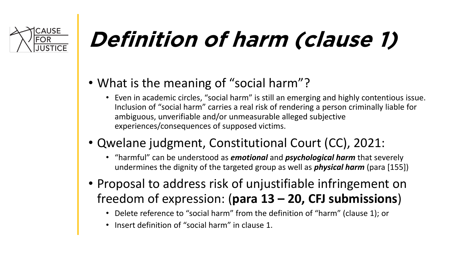

# **Definition of harm (clause 1)**

- What is the meaning of "social harm"?
	- Even in academic circles, "social harm" is still an emerging and highly contentious issue. Inclusion of "social harm" carries a real risk of rendering a person criminally liable for ambiguous, unverifiable and/or unmeasurable alleged subjective experiences/consequences of supposed victims.
- Qwelane judgment, Constitutional Court (CC), 2021:
	- "harmful" can be understood as *emotional* and *psychological harm* that severely undermines the dignity of the targeted group as well as *physical harm* (para [155])
- Proposal to address risk of unjustifiable infringement on freedom of expression: (**para 13 – 20, CFJ submissions**)
	- Delete reference to "social harm" from the definition of "harm" (clause 1); or
	- Insert definition of "social harm" in clause 1.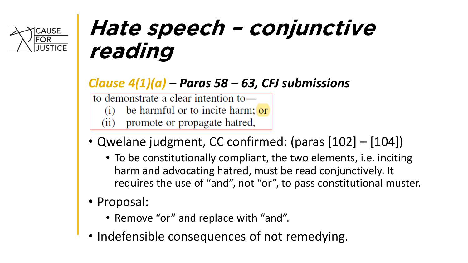

### **Hate speech – conjunctive reading**

#### *Clause 4(1)(a) – Paras 58 – 63, CFJ submissions*

to demonstrate a clear intention to-

- be harmful or to incite harm; or  $(1)$
- promote or propagate hatred,  $(11)$
- Qwelane judgment, CC confirmed: (paras [102] [104])
	- To be constitutionally compliant, the two elements, i.e. inciting harm and advocating hatred, must be read conjunctively. It requires the use of "and", not "or", to pass constitutional muster.
- Proposal:
	- Remove "or" and replace with "and".
- Indefensible consequences of not remedying.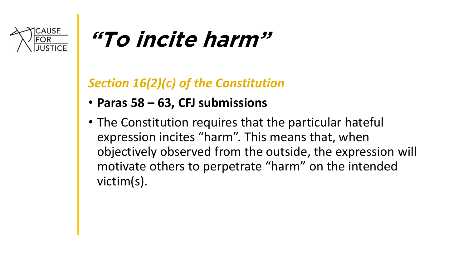

### **"To incite harm"**

#### *Section 16(2)(c) of the Constitution*

- **Paras 58 – 63, CFJ submissions**
- The Constitution requires that the particular hateful expression incites "harm". This means that, when objectively observed from the outside, the expression will motivate others to perpetrate "harm" on the intended victim(s).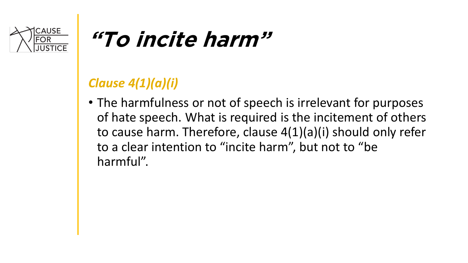

### **"To incite harm"**

#### *Clause 4(1)(a)(i)*

• The harmfulness or not of speech is irrelevant for purposes of hate speech. What is required is the incitement of others to cause harm. Therefore, clause 4(1)(a)(i) should only refer to a clear intention to "incite harm", but not to "be harmful".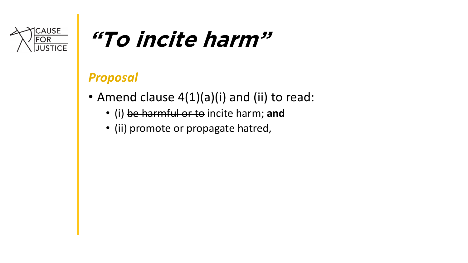

### **"To incite harm"**

#### *Proposal*

- Amend clause 4(1)(a)(i) and (ii) to read:
	- (i) be harmful or to incite harm; **and**
	- (ii) promote or propagate hatred,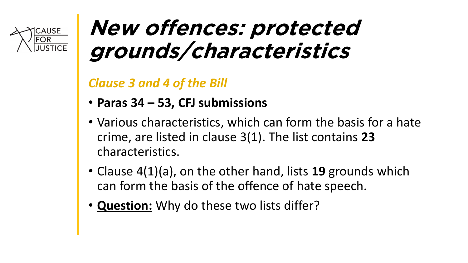

#### **New offences: protected grounds/characteristics**

*Clause 3 and 4 of the Bill* 

- **Paras 34 – 53, CFJ submissions**
- Various characteristics, which can form the basis for a hate crime, are listed in clause 3(1). The list contains **23** characteristics.
- Clause 4(1)(a), on the other hand, lists **19** grounds which can form the basis of the offence of hate speech.
- **Question:** Why do these two lists differ?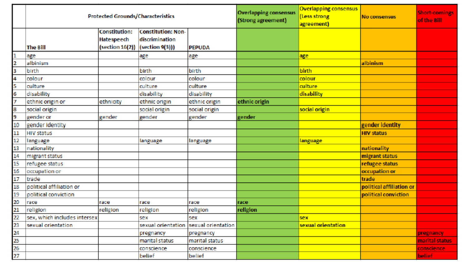|                 | <b>Protected Grounds/Characteristics</b> |                                                                        |                                             |                | <b>Overlapping consensus</b><br>(Strong agreement) | <b>Overlapping consensus</b><br>Less strong<br>agreement) | No consensus             | Short-comings<br>of the Bill |
|-----------------|------------------------------------------|------------------------------------------------------------------------|---------------------------------------------|----------------|----------------------------------------------------|-----------------------------------------------------------|--------------------------|------------------------------|
|                 | <b>The Bill</b>                          | <b>Constitution:</b><br>Hatespeech<br>(section 16(2))  (section 9(3))) | <b>Constitution: Non-</b><br>discrimination | <b>PEPUDA</b>  |                                                    |                                                           |                          |                              |
|                 | age                                      |                                                                        | age                                         | age            |                                                    | age                                                       |                          |                              |
|                 | albinism                                 |                                                                        |                                             |                |                                                    |                                                           | albinism                 |                              |
|                 | birth                                    |                                                                        | birth                                       | birth          |                                                    | birth                                                     |                          |                              |
|                 | colour                                   |                                                                        | colour                                      | colour         |                                                    | colour                                                    |                          |                              |
|                 | culture                                  |                                                                        | culture                                     | culture        |                                                    | culture                                                   |                          |                              |
| 6               | disability                               |                                                                        | disability                                  | disability     |                                                    | disability                                                |                          |                              |
|                 | ethnic origin or                         | ethnicity                                                              | ethnic origin                               | ethnic origin  | ethnic origin                                      |                                                           |                          |                              |
|                 | social origin                            |                                                                        | social origin                               | social origin  |                                                    | social origin                                             |                          |                              |
| 9               | gender or                                | gender                                                                 | gender                                      | gender         | gender                                             |                                                           |                          |                              |
| 10              | gender identity                          |                                                                        |                                             |                |                                                    |                                                           | gender identity          |                              |
| 11              | <b>HIV status</b>                        |                                                                        |                                             |                |                                                    |                                                           | <b>HIV status</b>        |                              |
| 12              | language                                 |                                                                        | language                                    | language       |                                                    | language.                                                 |                          |                              |
| 13              | nationality                              |                                                                        |                                             |                |                                                    |                                                           | nationality              |                              |
| 14              | migrant status                           |                                                                        |                                             |                |                                                    |                                                           | migrant status           |                              |
| 15              | refugee status                           |                                                                        |                                             |                |                                                    |                                                           | refugee status           |                              |
| 16              | occupation or                            |                                                                        |                                             |                |                                                    |                                                           | occupation or            |                              |
| 17              | trade                                    |                                                                        |                                             |                |                                                    |                                                           | trade                    |                              |
| 18              | political affiliation or                 |                                                                        |                                             |                |                                                    |                                                           | political affiliation or |                              |
| 19              | political conviction                     |                                                                        |                                             |                |                                                    |                                                           | political conviction     |                              |
| 20              | race                                     | race                                                                   | race                                        | race           | race                                               |                                                           |                          |                              |
| 21              | religion                                 | religion                                                               | religion                                    | religion       | religion                                           |                                                           |                          |                              |
| 22              | sex, which includes intersex             |                                                                        | sex                                         | sex            |                                                    | sex                                                       |                          |                              |
| 25              | sexual orientation                       |                                                                        | sexual orientation sexual orientation       |                |                                                    | sexual orientation                                        |                          |                              |
| 24              |                                          |                                                                        | pregnancy                                   | pregnancy      |                                                    |                                                           |                          | pregnancy                    |
| 25              |                                          |                                                                        | marital status                              | marital status |                                                    |                                                           |                          | marital status               |
| 26              |                                          |                                                                        | conscience                                  | conscience     |                                                    |                                                           |                          | conscience                   |
| 27 <sub>2</sub> |                                          |                                                                        | belief                                      | belief         |                                                    |                                                           |                          | <b>belief</b>                |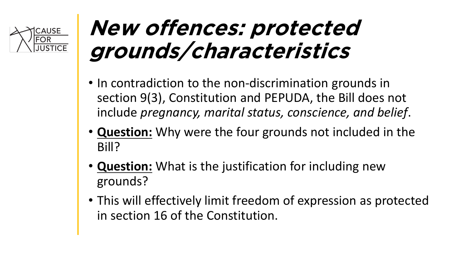

### **New offences: protected grounds/characteristics**

- In contradiction to the non-discrimination grounds in section 9(3), Constitution and PEPUDA, the Bill does not include *pregnancy, marital status, conscience, and belief*.
- **Question:** Why were the four grounds not included in the Bill?
- **Question:** What is the justification for including new grounds?
- This will effectively limit freedom of expression as protected in section 16 of the Constitution.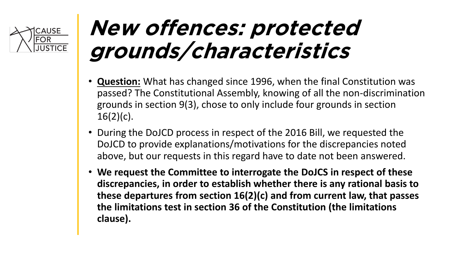

### **New offences: protected grounds/characteristics**

- **Question:** What has changed since 1996, when the final Constitution was passed? The Constitutional Assembly, knowing of all the non-discrimination grounds in section 9(3), chose to only include four grounds in section  $16(2)(c)$ .
- During the DoJCD process in respect of the 2016 Bill, we requested the DoJCD to provide explanations/motivations for the discrepancies noted above, but our requests in this regard have to date not been answered.
- **We request the Committee to interrogate the DoJCS in respect of these discrepancies, in order to establish whether there is any rational basis to these departures from section 16(2)(c) and from current law, that passes the limitations test in section 36 of the Constitution (the limitations clause).**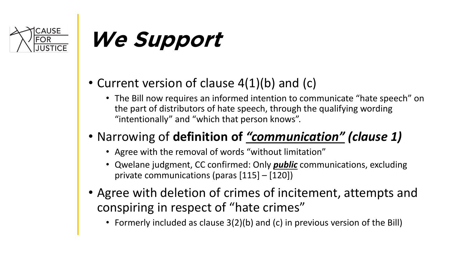

# **We Support**

- Current version of clause 4(1)(b) and (c)
	- The Bill now requires an informed intention to communicate "hate speech" on the part of distributors of hate speech, through the qualifying wording "intentionally" and "which that person knows".

#### • Narrowing of **definition of** *"communication" (clause 1)*

- Agree with the removal of words "without limitation"
- Qwelane judgment, CC confirmed: Only *public* communications, excluding private communications (paras [115] – [120])
- Agree with deletion of crimes of incitement, attempts and conspiring in respect of "hate crimes"
	- Formerly included as clause 3(2)(b) and (c) in previous version of the Bill)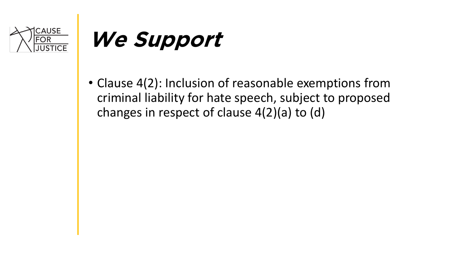

## **We Support**

• Clause 4(2): Inclusion of reasonable exemptions from criminal liability for hate speech, subject to proposed changes in respect of clause 4(2)(a) to (d)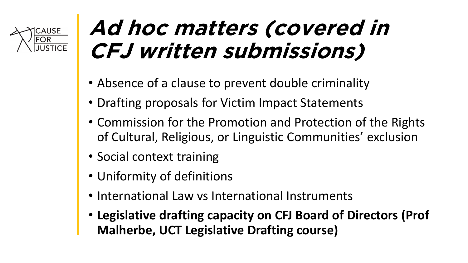

### **Ad hoc matters (covered in CFJ written submissions)**

- Absence of a clause to prevent double criminality
- Drafting proposals for Victim Impact Statements
- Commission for the Promotion and Protection of the Rights of Cultural, Religious, or Linguistic Communities' exclusion
- Social context training
- Uniformity of definitions
- International Law vs International Instruments
- **Legislative drafting capacity on CFJ Board of Directors (Prof Malherbe, UCT Legislative Drafting course)**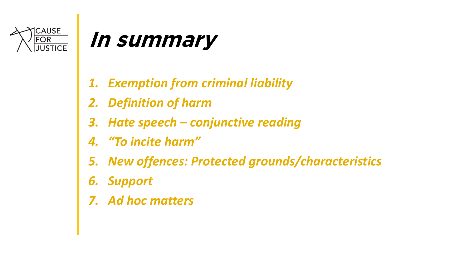

#### **In summary**

- *1. Exemption from criminal liability*
- *2. Definition of harm*
- *3. Hate speech – conjunctive reading*
- *4. "To incite harm"*
- *5. New offences: Protected grounds/characteristics*
- *6. Support*
- *7. Ad hoc matters*